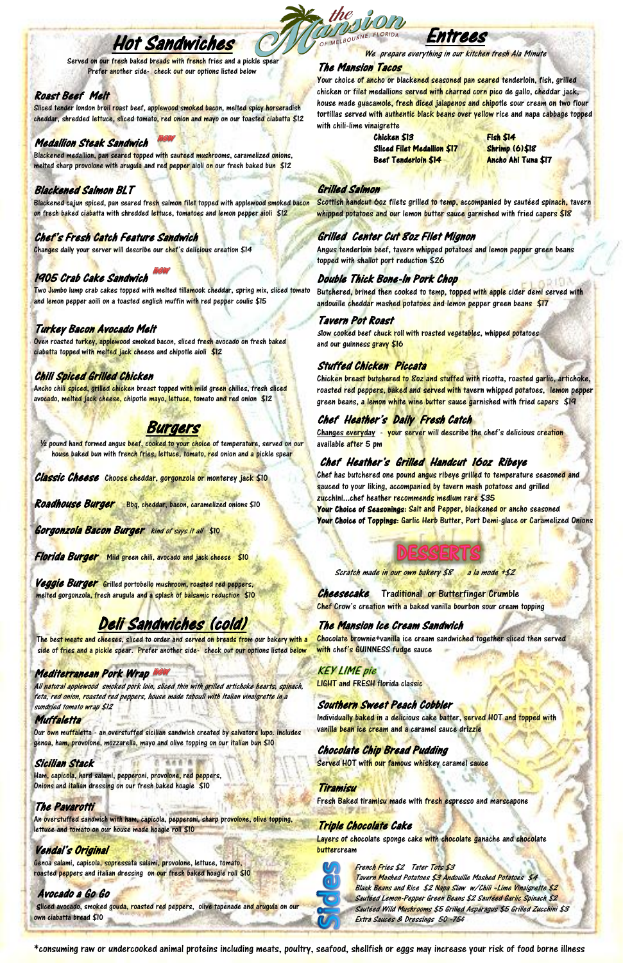\*consuming raw or undercooked animal proteins including meats, poultry, seafood, shellfish or eggs may increase your risk of food borne illness

**Cheesecake** Traditional or Butterfinger Crumble Chef Crow's creation with a baked vanilla bourbon sour cream topping

Chocolate brownie+vanilla ice cream sandwiched together sliced then served with chef's GUINNESS fudge sauce

**KEY LIME** pie LIGHT and FRESH florida classic

Individually baked in a delicious cake batter, served HOT and topped with vanilla bean ice cream and a caramel sauce drizzle

## The Mansion Ice Cream Sandwich

Layers of chocolate sponge cake with chocolate ganache and chocolate buttercream



Southern Sweet Peach Cobbler

#### **Muffaletta**

Our own muffaletta - an overstuffed sicilian sandwich created by salvatore lupo. includes genoa, ham, provolone, mozzarella, mayo and olive topping on our italian bun \$10

#### Chocolate Chip Bread Pudding

Served HOT with our famous whiskey caramel sauce

Your choice of ancho or blackened seasoned pan seared tenderloin, fish, grilled chicken or fil<mark>et m</mark>edallions <mark>served with charred corn pic</mark>o de gallo, cheddar jack, house made guacamole, fresh diced jalapenos and chipotle sour cream on two flour tortillas served with authentic black beans over yellow rice and napa cabbage topped with chili-lime vinaigrette

#### Tiramisu

Fresh Baked tiramisu made with fresh espresso and marscapone

#### Triple Chocolate Cake

Scottish handcut 60z filets grilled to temp, accompanied by sautéed spinach, tavern whipped potatoes and our lemon butter sauce garnished with fried capers \$18

Entrees

Butchered, brined then cooked to temp, topped with apple cider demi served with andouille cheddar mashed potat<mark>oes and le</mark>mon pepper green bea<mark>ns \$17</mark>

We prepare everything in our kitchen fresh Ala Minute

#### The Mansion Tacos

Slow cooked beef chuck roll with roasted vegetables, whipped potatoes and our guinness gravy \$16

Changes everyday - your server will describe the chef's delicious creation available after 5 pm

Chef has butchered one pound angus ribeye grilled to temperature seasoned and sauced to your liking, accompanied by tavern mash potatoes and grilled zucchini...chef heather recommends medium rare \$35

Chicken \$13 Fish \$14 Sliced Filet Medallion \$17 Shrimp (6)\$18 Beef Tenderloin \$14 Ancho Ahi Tuna \$17

#### Grilled Salmon

## Grilled Center Cut 8oz Filet Mignon

Angus tenderloin beef, tavern whipped potatoes and lemon pepper green beans topped with shallot port reduction \$26

Sliced tender london broil roast beef, applewood smoked bacon, melted spicy horseradish cheddar, shredded lettuce, sliced tomato, red onion and mayo on our toasted ciabatta \$12

Blackened medallion, pan seared topped with sauteed mushrooms, caramelized onions, melted sharp provolone with arugula and red pepper aioli on our fresh baked bun \$12

## Double Thick Bone-In Pork Chop

#### Tavern Pot Roast

Two Jumbo lump crab cakes topped with melted tillamook cheddar, spring mix, sliced tomato and lemon pepper aoili on a toasted english muffin with red pepper coulis \$15

#### Stuffed Chicken Piccata

Chicken breast butchered to *80z* and stuffed with ricotta, roasted garlic, artichoke, roasted red peppers, baked and served with tavern whipped potatoes, lemon pepper green beans, a <mark>lemon white wine butter sauce ga</mark>rnished with fried capers \$19

## Chef Heather's Daily Fresh Catch

## Chef Heather's Grilled Handcut 16oz Ribeye

Veggie Burger Grilled portobello mushroom, roasted red peppers, melted gorgonzola, fresh arugula and a splash of balsamic reduction \$10 Your Choice of Seasonings: Salt and Pepper, blackened or ancho seasoned Your Choice of Toppings: Garlic Herb Butter, Port Demi-glace or Caramelized Onions

Scratch made in our own bakery \$8 a la mode +\$2

#### French Fries \$2 Tater Tots \$3

An overstuffed sandwich with ham, capicola, pepperoni, sharp provolone, olive topping, lettuce and tomato on our house made hoagie roll \$10

Genoa salami, capicola, sopressata salami, provolone, lettuce, tomato, roasted peppers and italian dressing on our fresh baked hoagie roll \$10

Tavern Mashed Potatoes \$3 Andouille Mashed Potatoes \$4 Black Beans and Rice \$2 Napa Slaw w/Chili -Lime Vinaigrette \$2 Sautéed Lemon-Pepper Green Beans \$2 Sautéed Garlic Spinach \$2 Sautéed Wild Mushrooms \$5 Grilled Asparagus \$5 Grilled Zucchini \$3 Extra Sauces & Dressings 50 -75¢

Sliced avocado, smoked gouda, roasted red peppers, olive tapenade and arugula on our own ciabatta bread \$10

## Hot Sandwiches

Served on our fresh baked breads with french fries and a pickle spear Prefer another side- check out our options listed below

## Roast Beef Melt

### Medallion Steak Sandwich

### Blackened Salmon BLT

Blackened cajun spiced, pan seared fresh salmon filet topped with applewood smoked bacon on fresh baked ciabatta with shredded lettuce, tomatoes and lemon pepper aioli \$12

## Chef's Fresh Catch Feature Sandwich

Changes daily your server will describe our chef's delicious creation \$14

## 1905 Crab Cake Sandwich

## Turkey Bacon Avocado Melt

Oven roasted turkey, applewood smoked bacon, sliced fresh avocado on fresh baked ciabatta topped with melted jack cheese and chipotle aioli \$12

## Chili Spiced Grilled Chicken

Ancho chili spiced, grilled chicken breast topped with mild green chilies, fresh sliced avocado, melted jack cheese, chipotle mayo, lettuce, tomato and red onion \$12

## Burgers

1/2 pound hand formed angus beef, cooked to your choice of temperature, served on our h<mark>ouse</mark> bake<mark>d b</mark>un with fr<mark>ench fries, lettuce, tomato, re</mark>d onion a<mark>nd a p</mark>ickle spea<mark>r</mark>

Classic Cheese Choose cheddar, gorgonzola or monterey jack \$10

Roadhouse Burger Bbq, cheddar, bacon, caramelized onions \$10

**Gorgonzola Bacon Burger** kind of says it all \$10

Florida Burger Mild green chili, avocado and jack cheese \$10

## Deli Sandwiches (cold)

The best meats and cheeses, sliced to order and served on breads from our bakery with a side of fries and a pickle spear. Prefer another side- check out our options listed below

#### Mediterranean Pork Wrap

All natural applewood smoked pork loin, sliced thin with grilled artichoke hearts, spinach, feta, red onion, roasted red peppers, house made tabouli with Italian vinaigrette in a ied tomato wrap \$12

#### Sicilian Stack

Ham, capicola, hard salami, pepperoni, provolone, red peppers, Onions and italian dressing on our fresh baked hoagie \$10

#### The Pavarotti

### Vendal's Original

#### Avocado a Go Go